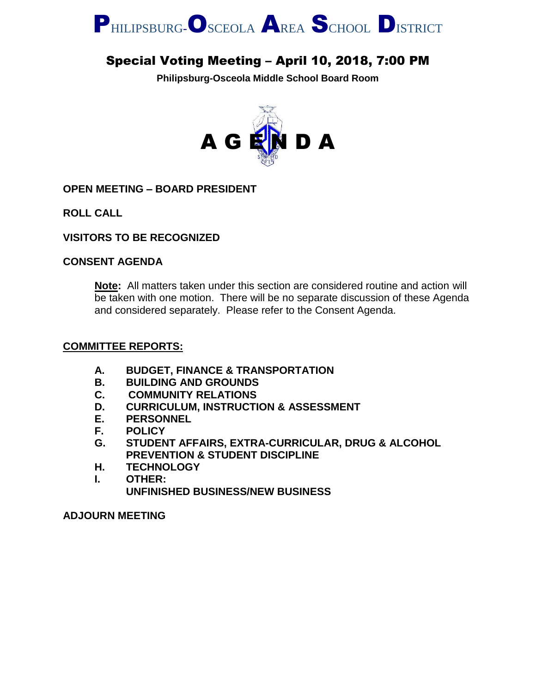

## Special Voting Meeting – April 10, 2018, 7:00 PM

**Philipsburg-Osceola Middle School Board Room**



**OPEN MEETING – BOARD PRESIDENT**

**ROLL CALL**

**VISITORS TO BE RECOGNIZED**

#### **CONSENT AGENDA**

**Note:** All matters taken under this section are considered routine and action will be taken with one motion. There will be no separate discussion of these Agenda and considered separately. Please refer to the Consent Agenda.

#### **COMMITTEE REPORTS:**

- **A. BUDGET, FINANCE & TRANSPORTATION**
- **B. BUILDING AND GROUNDS**
- **C. COMMUNITY RELATIONS**
- **D. CURRICULUM, INSTRUCTION & ASSESSMENT**
- **E. PERSONNEL**
- **F. POLICY**
- **G. STUDENT AFFAIRS, EXTRA-CURRICULAR, DRUG & ALCOHOL PREVENTION & STUDENT DISCIPLINE**
- **H. TECHNOLOGY**
- **I. OTHER: UNFINISHED BUSINESS/NEW BUSINESS**

**ADJOURN MEETING**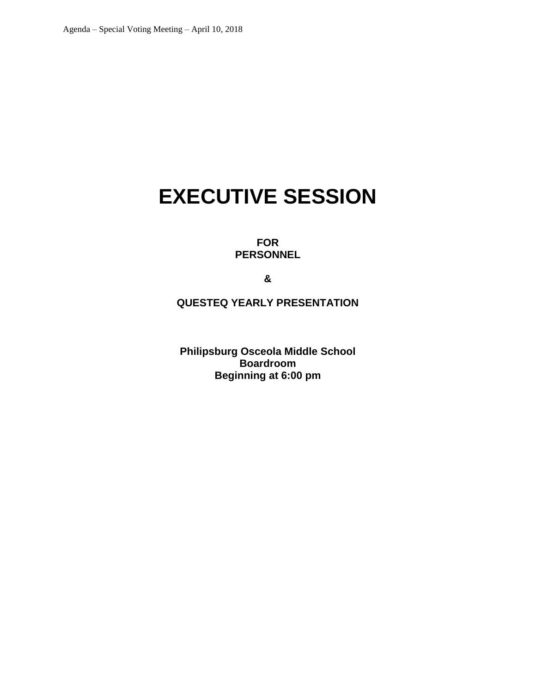# **EXECUTIVE SESSION**

**FOR PERSONNEL**

**&**

**QUESTEQ YEARLY PRESENTATION**

**Philipsburg Osceola Middle School Boardroom Beginning at 6:00 pm**